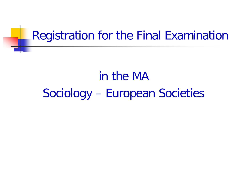### Registration for the Final Examination

# in the MA Sociology – European Societies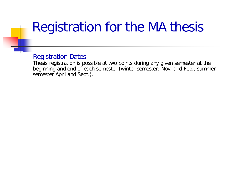## Registration for the MA thesis

#### Registration Dates

Thesis registration is possible at two points during any given semester at the beginning and end of each semester (winter semester: Nov. and Feb., summer semester April and Sept.).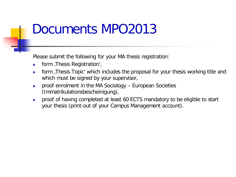### Documents MPO2013

Please submit the following for your MA thesis registration:

- **Form** , Thesis Registration',
- **form** Thesis Topic' which includes the proposal for your thesis working title and which must be signed by your supervisor,
- **proof enrolment in the MA Sociology European Societies** (Immatrikulationsbescheinigung),
- **proof of having completed at least 60 ECTS mandatory to be eligible to start** your thesis (print-out of your Campus Management account).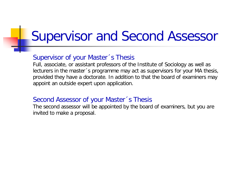## Supervisor and Second Assessor

#### Supervisor of your Master´s Thesis

Full, associate, or assistant professors of the Institute of Sociology as well as lecturers in the master´s programme may act as supervisors for your MA thesis, provided they have a doctorate. In addition to that the board of examiners may appoint an outside expert upon application.

#### Second Assessor of your Master´s Thesis

The second assessor will be appointed by the board of examiners, but you are invited to make a proposal.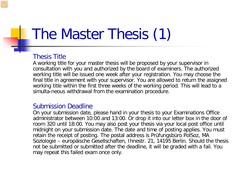# The Master Thesis (1)

#### Thesis Title

A working title for your master thesis will be proposed by your supervisor in consultation with you and authorized by the board of examiners. The authorized working title will be issued one week after your registration. You may choose the final title in agreement with your supervisor. You are allowed to return the assigned working title within the first three weeks of the working period. This will lead to a simulta-neous withdrawal from the examination procedure.

#### Submission Deadline

On your submission date, please hand in your thesis to your Examinations Office administrator between 10:00 and 13:00. Or drop it into our letter box in the door of room 320 until 18:00. You may also post your thesis via your local post office until midnight on your submission date. The date and time of posting applies. You must retain the receipt of posting. The postal address is Prüfungsbüro PolSoz, MA Soziologie – europäische Gesellschaften, Ihnestr. 21, 14195 Berlin. Should the thesis not be submitted or submitted after the deadline, it will be graded with a fail. You may repeat this failed exam once only.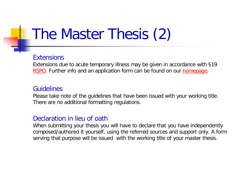# The Master Thesis (2)

#### **Extensions**

Extensions due to acute temporary illness may be given in accordance with §19 [RSPO](https://www.polsoz.fu-berlin.de/studium/downloads/downloads_rechtliche_grundlagen/rspo_20130822.pdf). Further info and an application form can be found on our [homepage.](https://www.polsoz.fu-berlin.de/studium/pruefungsbuero/studiengaenge/ma_studiengaenge/ma_soziologie_europaeische_gesellschaften/index.html#faq_verlaengerung)

#### Guidelines

Please take note of the guidelines that have been issued with your working title. There are no additional formatting regulations.

#### Declaration in lieu of oath

When submitting your thesis you will have to declare that you have independently composed/authored it yourself, using the referred sources and support only. A form serving that purpose will be issued with the working title of your master thesis.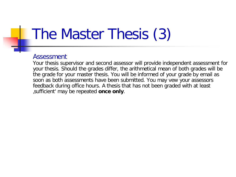# The Master Thesis (3)

#### Assessment

Your thesis supervisor and second assessor will provide independent assessment for your thesis. Should the grades differ, the arithmetical mean of both grades will be the grade for your master thesis. You will be informed of your grade by email as soon as both assessments have been submitted. You may vew your assessors feedback during office hours. A thesis that has not been graded with at least 'sufficient' may be repeated **once only**.